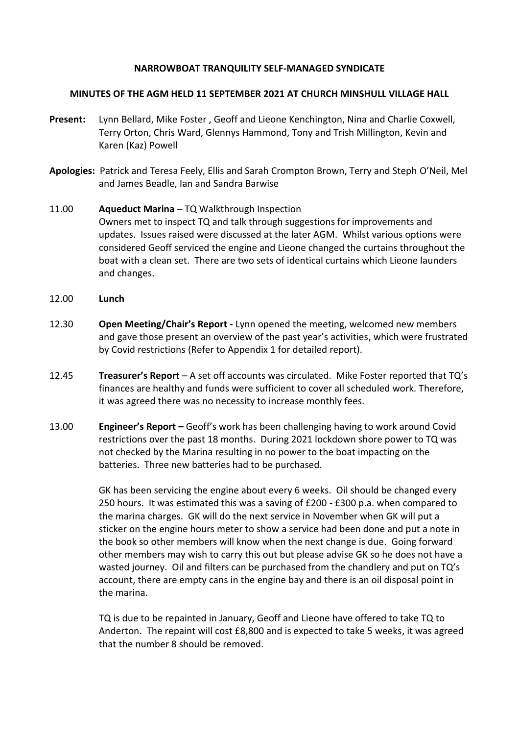# **NARROWBOAT TRANQUILITY SELF-MANAGED SYNDICATE**

#### **MINUTES OF THE AGM HELD 11 SEPTEMBER 2021 AT CHURCH MINSHULL VILLAGE HALL**

- **Present:** Lynn Bellard, Mike Foster , Geoff and Lieone Kenchington, Nina and Charlie Coxwell, Terry Orton, Chris Ward, Glennys Hammond, Tony and Trish Millington, Kevin and Karen (Kaz) Powell
- **Apologies:** Patrick and Teresa Feely, Ellis and Sarah Crompton Brown, Terry and Steph O'Neil, Mel and James Beadle, Ian and Sandra Barwise
- 11.00 **Aqueduct Marina**  TQ Walkthrough Inspection Owners met to inspect TQ and talk through suggestions for improvements and updates. Issues raised were discussed at the later AGM. Whilst various options were considered Geoff serviced the engine and Lieone changed the curtains throughout the boat with a clean set. There are two sets of identical curtains which Lieone launders and changes.
- 12.00 **Lunch**
- 12.30 **Open Meeting/Chair's Report -** Lynn opened the meeting, welcomed new members and gave those present an overview of the past year's activities, which were frustrated by Covid restrictions (Refer to Appendix 1 for detailed report).
- 12.45 **Treasurer's Report** A set off accounts was circulated. Mike Foster reported that TQ's finances are healthy and funds were sufficient to cover all scheduled work. Therefore, it was agreed there was no necessity to increase monthly fees.
- 13.00 **Engineer's Report –** Geoff's work has been challenging having to work around Covid restrictions over the past 18 months. During 2021 lockdown shore power to TQ was not checked by the Marina resulting in no power to the boat impacting on the batteries. Three new batteries had to be purchased.

GK has been servicing the engine about every 6 weeks. Oil should be changed every 250 hours. It was estimated this was a saving of £200 - £300 p.a. when compared to the marina charges. GK will do the next service in November when GK will put a sticker on the engine hours meter to show a service had been done and put a note in the book so other members will know when the next change is due. Going forward other members may wish to carry this out but please advise GK so he does not have a wasted journey. Oil and filters can be purchased from the chandlery and put on TQ's account, there are empty cans in the engine bay and there is an oil disposal point in the marina.

TQ is due to be repainted in January, Geoff and Lieone have offered to take TQ to Anderton. The repaint will cost £8,800 and is expected to take 5 weeks, it was agreed that the number 8 should be removed.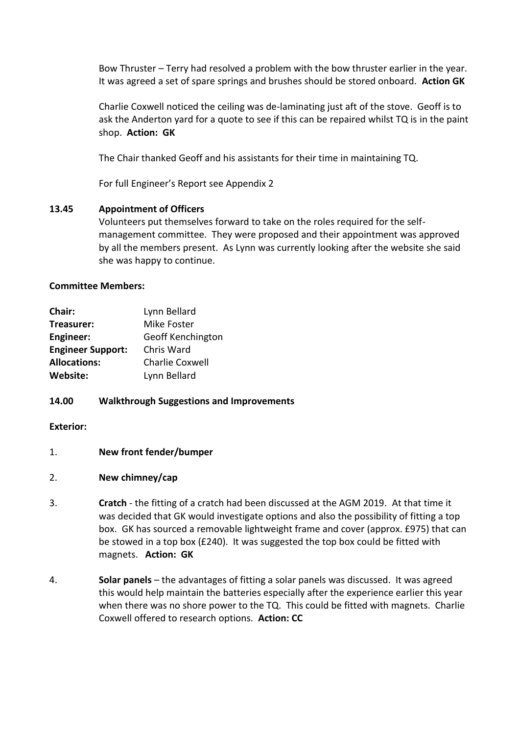Bow Thruster – Terry had resolved a problem with the bow thruster earlier in the year. It was agreed a set of spare springs and brushes should be stored onboard. **Action GK**

Charlie Coxwell noticed the ceiling was de-laminating just aft of the stove. Geoff is to ask the Anderton yard for a quote to see if this can be repaired whilst TQ is in the paint shop. **Action: GK**

The Chair thanked Geoff and his assistants for their time in maintaining TQ.

For full Engineer's Report see Appendix 2

# **13.45 Appointment of Officers**

Volunteers put themselves forward to take on the roles required for the selfmanagement committee. They were proposed and their appointment was approved by all the members present. As Lynn was currently looking after the website she said she was happy to continue.

# **Committee Members:**

| Chair:                   | Lynn Bellard             |
|--------------------------|--------------------------|
| Treasurer:               | Mike Foster              |
| Engineer:                | <b>Geoff Kenchington</b> |
| <b>Engineer Support:</b> | Chris Ward               |
| <b>Allocations:</b>      | <b>Charlie Coxwell</b>   |
| Website:                 | Lynn Bellard             |

# **14.00 Walkthrough Suggestions and Improvements**

# **Exterior:**

1. **New front fender/bumper**

# 2. **New chimney/cap**

- 3. **Cratch** the fitting of a cratch had been discussed at the AGM 2019. At that time it was decided that GK would investigate options and also the possibility of fitting a top box. GK has sourced a removable lightweight frame and cover (approx. £975) that can be stowed in a top box (£240). It was suggested the top box could be fitted with magnets. **Action: GK**
- 4. **Solar panels** the advantages of fitting a solar panels was discussed. It was agreed this would help maintain the batteries especially after the experience earlier this year when there was no shore power to the TQ. This could be fitted with magnets. Charlie Coxwell offered to research options. **Action: CC**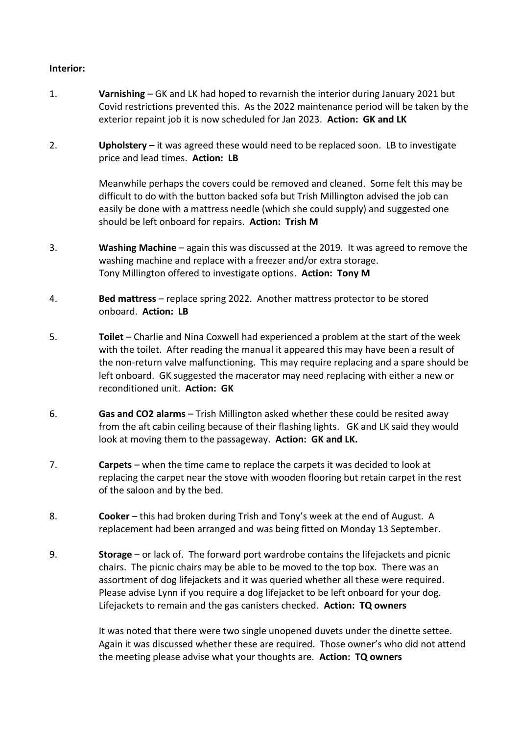# **Interior:**

- 1. **Varnishing**  GK and LK had hoped to revarnish the interior during January 2021 but Covid restrictions prevented this. As the 2022 maintenance period will be taken by the exterior repaint job it is now scheduled for Jan 2023. **Action: GK and LK**
- 2. **Upholstery –** it was agreed these would need to be replaced soon. LB to investigate price and lead times. **Action: LB**

Meanwhile perhaps the covers could be removed and cleaned. Some felt this may be difficult to do with the button backed sofa but Trish Millington advised the job can easily be done with a mattress needle (which she could supply) and suggested one should be left onboard for repairs. **Action: Trish M**

- 3. **Washing Machine** again this was discussed at the 2019. It was agreed to remove the washing machine and replace with a freezer and/or extra storage. Tony Millington offered to investigate options. **Action: Tony M**
- 4. **Bed mattress** replace spring 2022. Another mattress protector to be stored onboard. **Action: LB**
- 5. **Toilet** Charlie and Nina Coxwell had experienced a problem at the start of the week with the toilet. After reading the manual it appeared this may have been a result of the non-return valve malfunctioning. This may require replacing and a spare should be left onboard. GK suggested the macerator may need replacing with either a new or reconditioned unit. **Action: GK**
- 6. **Gas and CO2 alarms** Trish Millington asked whether these could be resited away from the aft cabin ceiling because of their flashing lights. GK and LK said they would look at moving them to the passageway. **Action: GK and LK.**
- 7. **Carpets** when the time came to replace the carpets it was decided to look at replacing the carpet near the stove with wooden flooring but retain carpet in the rest of the saloon and by the bed.
- 8. **Cooker** this had broken during Trish and Tony's week at the end of August. A replacement had been arranged and was being fitted on Monday 13 September.
- 9. **Storage** or lack of. The forward port wardrobe contains the lifejackets and picnic chairs. The picnic chairs may be able to be moved to the top box. There was an assortment of dog lifejackets and it was queried whether all these were required. Please advise Lynn if you require a dog lifejacket to be left onboard for your dog. Lifejackets to remain and the gas canisters checked. **Action: TQ owners**

It was noted that there were two single unopened duvets under the dinette settee. Again it was discussed whether these are required. Those owner's who did not attend the meeting please advise what your thoughts are. **Action: TQ owners**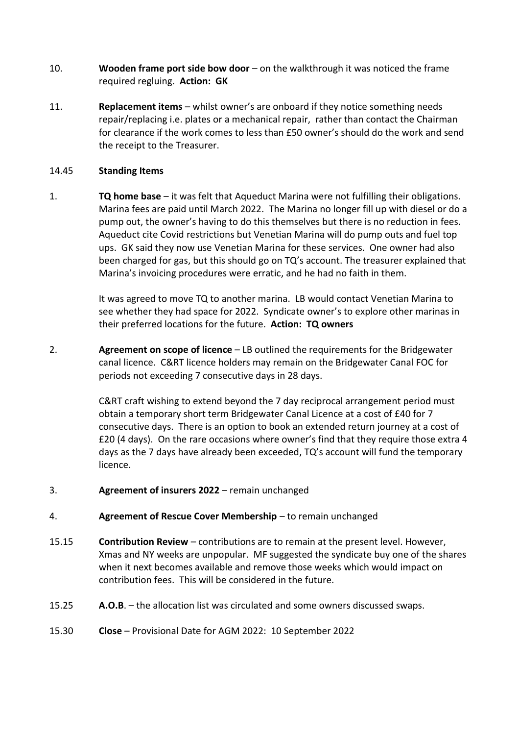- 10. **Wooden frame port side bow door** on the walkthrough it was noticed the frame required regluing. **Action: GK**
- 11. **Replacement items** whilst owner's are onboard if they notice something needs repair/replacing i.e. plates or a mechanical repair, rather than contact the Chairman for clearance if the work comes to less than £50 owner's should do the work and send the receipt to the Treasurer.

# 14.45 **Standing Items**

1. **TQ home base** – it was felt that Aqueduct Marina were not fulfilling their obligations. Marina fees are paid until March 2022. The Marina no longer fill up with diesel or do a pump out, the owner's having to do this themselves but there is no reduction in fees. Aqueduct cite Covid restrictions but Venetian Marina will do pump outs and fuel top ups. GK said they now use Venetian Marina for these services. One owner had also been charged for gas, but this should go on TQ's account. The treasurer explained that Marina's invoicing procedures were erratic, and he had no faith in them.

> It was agreed to move TQ to another marina. LB would contact Venetian Marina to see whether they had space for 2022. Syndicate owner's to explore other marinas in their preferred locations for the future. **Action: TQ owners**

2. **Agreement on scope of licence** – LB outlined the requirements for the Bridgewater canal licence. C&RT licence holders may remain on the Bridgewater Canal FOC for periods not exceeding 7 consecutive days in 28 days.

> C&RT craft wishing to extend beyond the 7 day reciprocal arrangement period must obtain a temporary short term Bridgewater Canal Licence at a cost of £40 for 7 consecutive days. There is an option to book an extended return journey at a cost of £20 (4 days). On the rare occasions where owner's find that they require those extra 4 days as the 7 days have already been exceeded, TQ's account will fund the temporary licence.

- 3. **Agreement of insurers 2022** remain unchanged
- 4. **Agreement of Rescue Cover Membership** to remain unchanged
- 15.15 **Contribution Review** contributions are to remain at the present level. However, Xmas and NY weeks are unpopular. MF suggested the syndicate buy one of the shares when it next becomes available and remove those weeks which would impact on contribution fees. This will be considered in the future.
- 15.25 **A.O.B**. the allocation list was circulated and some owners discussed swaps.
- 15.30 **Close**  Provisional Date for AGM 2022: 10 September 2022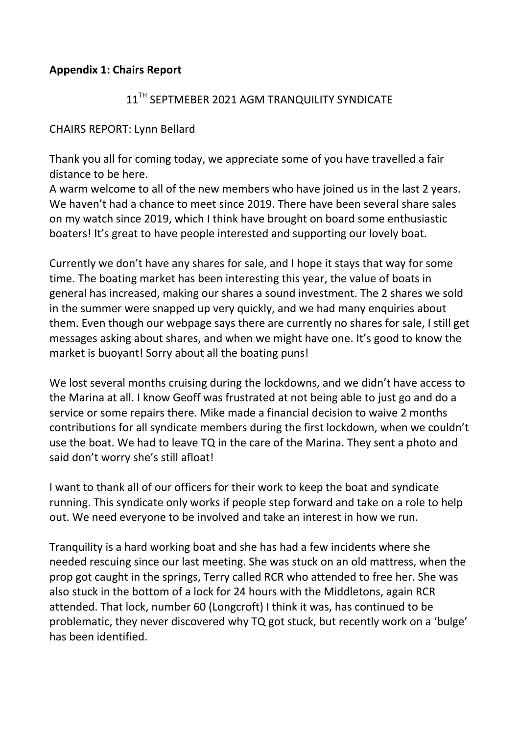# **Appendix 1: Chairs Report**

# 11<sup>TH</sup> SEPTMEBER 2021 AGM TRANQUILITY SYNDICATE

# CHAIRS REPORT: Lynn Bellard

Thank you all for coming today, we appreciate some of you have travelled a fair distance to be here.

A warm welcome to all of the new members who have joined us in the last 2 years. We haven't had a chance to meet since 2019. There have been several share sales on my watch since 2019, which I think have brought on board some enthusiastic boaters! It's great to have people interested and supporting our lovely boat.

Currently we don't have any shares for sale, and I hope it stays that way for some time. The boating market has been interesting this year, the value of boats in general has increased, making our shares a sound investment. The 2 shares we sold in the summer were snapped up very quickly, and we had many enquiries about them. Even though our webpage says there are currently no shares for sale, I still get messages asking about shares, and when we might have one. It's good to know the market is buoyant! Sorry about all the boating puns!

We lost several months cruising during the lockdowns, and we didn't have access to the Marina at all. I know Geoff was frustrated at not being able to just go and do a service or some repairs there. Mike made a financial decision to waive 2 months contributions for all syndicate members during the first lockdown, when we couldn't use the boat. We had to leave TQ in the care of the Marina. They sent a photo and said don't worry she's still afloat!

I want to thank all of our officers for their work to keep the boat and syndicate running. This syndicate only works if people step forward and take on a role to help out. We need everyone to be involved and take an interest in how we run.

Tranquility is a hard working boat and she has had a few incidents where she needed rescuing since our last meeting. She was stuck on an old mattress, when the prop got caught in the springs, Terry called RCR who attended to free her. She was also stuck in the bottom of a lock for 24 hours with the Middletons, again RCR attended. That lock, number 60 (Longcroft) I think it was, has continued to be problematic, they never discovered why TQ got stuck, but recently work on a 'bulge' has been identified.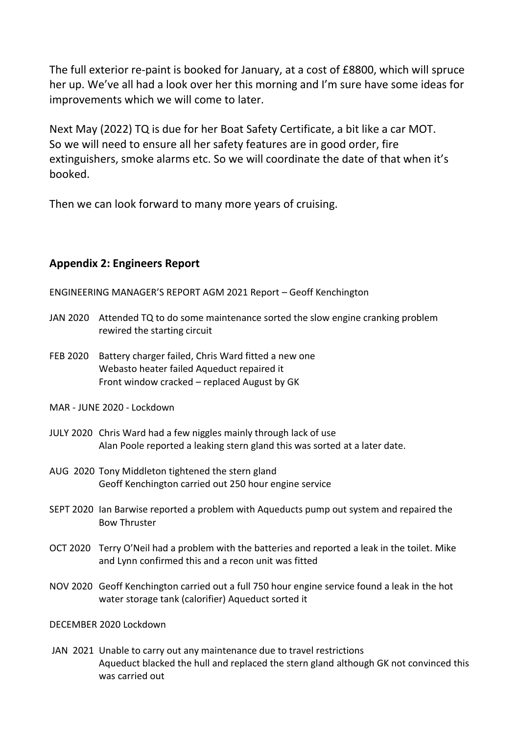The full exterior re-paint is booked for January, at a cost of £8800, which will spruce her up. We've all had a look over her this morning and I'm sure have some ideas for improvements which we will come to later.

Next May (2022) TQ is due for her Boat Safety Certificate, a bit like a car MOT. So we will need to ensure all her safety features are in good order, fire extinguishers, smoke alarms etc. So we will coordinate the date of that when it's booked.

Then we can look forward to many more years of cruising.

# **Appendix 2: Engineers Report**

ENGINEERING MANAGER'S REPORT AGM 2021 Report – Geoff Kenchington

- JAN 2020 Attended TQ to do some maintenance sorted the slow engine cranking problem rewired the starting circuit
- FEB 2020 Battery charger failed, Chris Ward fitted a new one Webasto heater failed Aqueduct repaired it Front window cracked – replaced August by GK
- MAR JUNE 2020 Lockdown
- JULY 2020 Chris Ward had a few niggles mainly through lack of use Alan Poole reported a leaking stern gland this was sorted at a later date.
- AUG 2020 Tony Middleton tightened the stern gland Geoff Kenchington carried out 250 hour engine service
- SEPT 2020 Ian Barwise reported a problem with Aqueducts pump out system and repaired the Bow Thruster
- OCT 2020 Terry O'Neil had a problem with the batteries and reported a leak in the toilet. Mike and Lynn confirmed this and a recon unit was fitted
- NOV 2020 Geoff Kenchington carried out a full 750 hour engine service found a leak in the hot water storage tank (calorifier) Aqueduct sorted it

DECEMBER 2020 Lockdown

JAN 2021 Unable to carry out any maintenance due to travel restrictions Aqueduct blacked the hull and replaced the stern gland although GK not convinced this was carried out